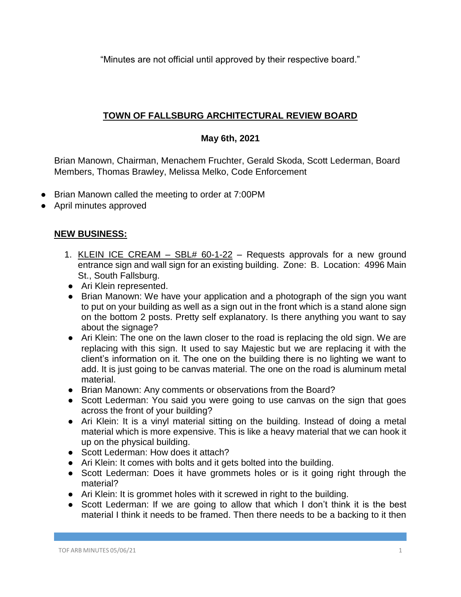"Minutes are not official until approved by their respective board."

## **TOWN OF FALLSBURG ARCHITECTURAL REVIEW BOARD**

## **May 6th, 2021**

Brian Manown, Chairman, Menachem Fruchter, Gerald Skoda, Scott Lederman, Board Members, Thomas Brawley, Melissa Melko, Code Enforcement

- Brian Manown called the meeting to order at 7:00PM
- April minutes approved

## **NEW BUSINESS:**

- 1. KLEIN ICE CREAM SBL# 60-1-22 Requests approvals for a new ground entrance sign and wall sign for an existing building. Zone: B. Location: 4996 Main St., South Fallsburg.
- Ari Klein represented.
- Brian Manown: We have your application and a photograph of the sign you want to put on your building as well as a sign out in the front which is a stand alone sign on the bottom 2 posts. Pretty self explanatory. Is there anything you want to say about the signage?
- Ari Klein: The one on the lawn closer to the road is replacing the old sign. We are replacing with this sign. It used to say Majestic but we are replacing it with the client's information on it. The one on the building there is no lighting we want to add. It is just going to be canvas material. The one on the road is aluminum metal material.
- Brian Manown: Any comments or observations from the Board?
- Scott Lederman: You said you were going to use canvas on the sign that goes across the front of your building?
- Ari Klein: It is a vinyl material sitting on the building. Instead of doing a metal material which is more expensive. This is like a heavy material that we can hook it up on the physical building.
- Scott Lederman: How does it attach?
- Ari Klein: It comes with bolts and it gets bolted into the building.
- Scott Lederman: Does it have grommets holes or is it going right through the material?
- Ari Klein: It is grommet holes with it screwed in right to the building.
- Scott Lederman: If we are going to allow that which I don't think it is the best material I think it needs to be framed. Then there needs to be a backing to it then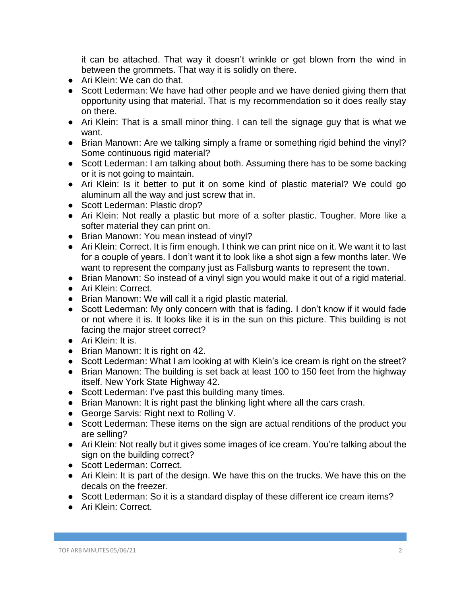it can be attached. That way it doesn't wrinkle or get blown from the wind in between the grommets. That way it is solidly on there.

- Ari Klein: We can do that.
- Scott Lederman: We have had other people and we have denied giving them that opportunity using that material. That is my recommendation so it does really stay on there.
- Ari Klein: That is a small minor thing. I can tell the signage guy that is what we want.
- Brian Manown: Are we talking simply a frame or something rigid behind the vinyl? Some continuous rigid material?
- Scott Lederman: I am talking about both. Assuming there has to be some backing or it is not going to maintain.
- Ari Klein: Is it better to put it on some kind of plastic material? We could go aluminum all the way and just screw that in.
- Scott Lederman: Plastic drop?
- Ari Klein: Not really a plastic but more of a softer plastic. Tougher. More like a softer material they can print on.
- Brian Manown: You mean instead of vinyl?
- Ari Klein: Correct. It is firm enough. I think we can print nice on it. We want it to last for a couple of years. I don't want it to look like a shot sign a few months later. We want to represent the company just as Fallsburg wants to represent the town.
- Brian Manown: So instead of a vinyl sign you would make it out of a rigid material.
- Ari Klein: Correct.
- Brian Manown: We will call it a rigid plastic material.
- Scott Lederman: My only concern with that is fading. I don't know if it would fade or not where it is. It looks like it is in the sun on this picture. This building is not facing the major street correct?
- Ari Klein: It is.
- Brian Manown: It is right on 42.
- Scott Lederman: What I am looking at with Klein's ice cream is right on the street?
- Brian Manown: The building is set back at least 100 to 150 feet from the highway itself. New York State Highway 42.
- Scott Lederman: I've past this building many times.
- Brian Manown: It is right past the blinking light where all the cars crash.
- George Sarvis: Right next to Rolling V.
- Scott Lederman: These items on the sign are actual renditions of the product you are selling?
- Ari Klein: Not really but it gives some images of ice cream. You're talking about the sign on the building correct?
- Scott Lederman: Correct.
- Ari Klein: It is part of the design. We have this on the trucks. We have this on the decals on the freezer.
- Scott Lederman: So it is a standard display of these different ice cream items?
- Ari Klein: Correct.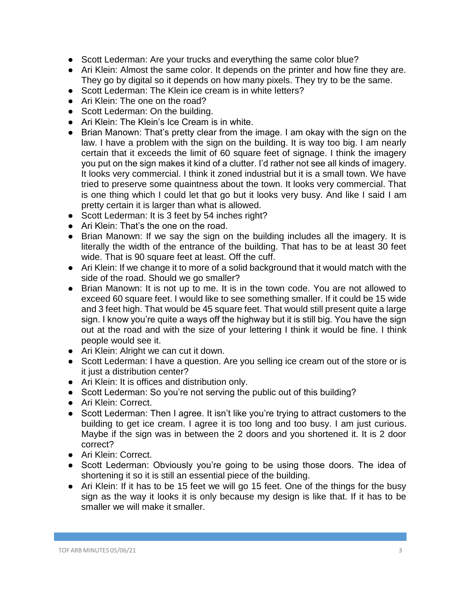- Scott Lederman: Are your trucks and everything the same color blue?
- Ari Klein: Almost the same color. It depends on the printer and how fine they are. They go by digital so it depends on how many pixels. They try to be the same.
- Scott Lederman: The Klein ice cream is in white letters?
- Ari Klein: The one on the road?
- Scott Lederman: On the building.
- Ari Klein: The Klein's Ice Cream is in white.
- Brian Manown: That's pretty clear from the image. I am okay with the sign on the law. I have a problem with the sign on the building. It is way too big. I am nearly certain that it exceeds the limit of 60 square feet of signage. I think the imagery you put on the sign makes it kind of a clutter. I'd rather not see all kinds of imagery. It looks very commercial. I think it zoned industrial but it is a small town. We have tried to preserve some quaintness about the town. It looks very commercial. That is one thing which I could let that go but it looks very busy. And like I said I am pretty certain it is larger than what is allowed.
- Scott Lederman: It is 3 feet by 54 inches right?
- Ari Klein: That's the one on the road.
- Brian Manown: If we say the sign on the building includes all the imagery. It is literally the width of the entrance of the building. That has to be at least 30 feet wide. That is 90 square feet at least. Off the cuff.
- Ari Klein: If we change it to more of a solid background that it would match with the side of the road. Should we go smaller?
- Brian Manown: It is not up to me. It is in the town code. You are not allowed to exceed 60 square feet. I would like to see something smaller. If it could be 15 wide and 3 feet high. That would be 45 square feet. That would still present quite a large sign. I know you're quite a ways off the highway but it is still big. You have the sign out at the road and with the size of your lettering I think it would be fine. I think people would see it.
- Ari Klein: Alright we can cut it down.
- Scott Lederman: I have a question. Are you selling ice cream out of the store or is it just a distribution center?
- Ari Klein: It is offices and distribution only.
- Scott Lederman: So you're not serving the public out of this building?
- Ari Klein: Correct.
- Scott Lederman: Then I agree. It isn't like you're trying to attract customers to the building to get ice cream. I agree it is too long and too busy. I am just curious. Maybe if the sign was in between the 2 doors and you shortened it. It is 2 door correct?
- Ari Klein: Correct.
- Scott Lederman: Obviously you're going to be using those doors. The idea of shortening it so it is still an essential piece of the building.
- Ari Klein: If it has to be 15 feet we will go 15 feet. One of the things for the busy sign as the way it looks it is only because my design is like that. If it has to be smaller we will make it smaller.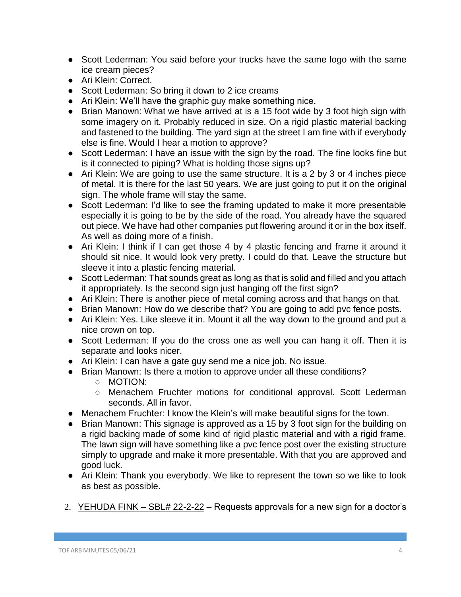- Scott Lederman: You said before your trucks have the same logo with the same ice cream pieces?
- Ari Klein: Correct.
- Scott Lederman: So bring it down to 2 ice creams
- Ari Klein: We'll have the graphic guy make something nice.
- Brian Manown: What we have arrived at is a 15 foot wide by 3 foot high sign with some imagery on it. Probably reduced in size. On a rigid plastic material backing and fastened to the building. The yard sign at the street I am fine with if everybody else is fine. Would I hear a motion to approve?
- Scott Lederman: I have an issue with the sign by the road. The fine looks fine but is it connected to piping? What is holding those signs up?
- Ari Klein: We are going to use the same structure. It is a 2 by 3 or 4 inches piece of metal. It is there for the last 50 years. We are just going to put it on the original sign. The whole frame will stay the same.
- Scott Lederman: I'd like to see the framing updated to make it more presentable especially it is going to be by the side of the road. You already have the squared out piece. We have had other companies put flowering around it or in the box itself. As well as doing more of a finish.
- Ari Klein: I think if I can get those 4 by 4 plastic fencing and frame it around it should sit nice. It would look very pretty. I could do that. Leave the structure but sleeve it into a plastic fencing material.
- Scott Lederman: That sounds great as long as that is solid and filled and you attach it appropriately. Is the second sign just hanging off the first sign?
- Ari Klein: There is another piece of metal coming across and that hangs on that.
- Brian Manown: How do we describe that? You are going to add pvc fence posts.
- Ari Klein: Yes. Like sleeve it in. Mount it all the way down to the ground and put a nice crown on top.
- Scott Lederman: If you do the cross one as well you can hang it off. Then it is separate and looks nicer.
- Ari Klein: I can have a gate guy send me a nice job. No issue.
- Brian Manown: Is there a motion to approve under all these conditions?
	- MOTION:
	- Menachem Fruchter motions for conditional approval. Scott Lederman seconds. All in favor.
- Menachem Fruchter: I know the Klein's will make beautiful signs for the town.
- Brian Manown: This signage is approved as a 15 by 3 foot sign for the building on a rigid backing made of some kind of rigid plastic material and with a rigid frame. The lawn sign will have something like a pvc fence post over the existing structure simply to upgrade and make it more presentable. With that you are approved and good luck.
- Ari Klein: Thank you everybody. We like to represent the town so we like to look as best as possible.
- 2. YEHUDA FINK  $-$  SBL# 22-2-22  $-$  Requests approvals for a new sign for a doctor's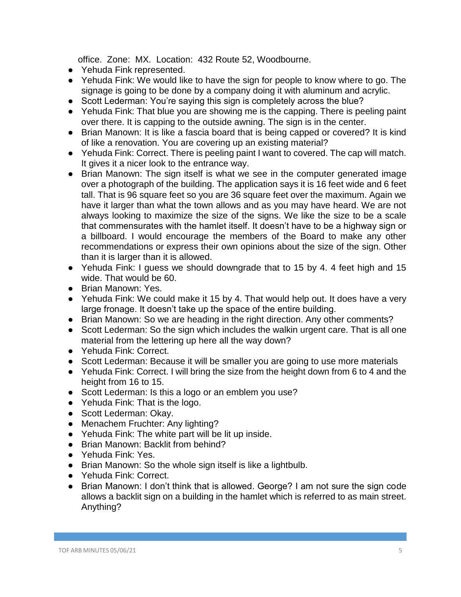office. Zone: MX. Location: 432 Route 52, Woodbourne.

- Yehuda Fink represented.
- Yehuda Fink: We would like to have the sign for people to know where to go. The signage is going to be done by a company doing it with aluminum and acrylic.
- Scott Lederman: You're saying this sign is completely across the blue?
- Yehuda Fink: That blue you are showing me is the capping. There is peeling paint over there. It is capping to the outside awning. The sign is in the center.
- Brian Manown: It is like a fascia board that is being capped or covered? It is kind of like a renovation. You are covering up an existing material?
- Yehuda Fink: Correct. There is peeling paint I want to covered. The cap will match. It gives it a nicer look to the entrance way.
- Brian Manown: The sign itself is what we see in the computer generated image over a photograph of the building. The application says it is 16 feet wide and 6 feet tall. That is 96 square feet so you are 36 square feet over the maximum. Again we have it larger than what the town allows and as you may have heard. We are not always looking to maximize the size of the signs. We like the size to be a scale that commensurates with the hamlet itself. It doesn't have to be a highway sign or a billboard. I would encourage the members of the Board to make any other recommendations or express their own opinions about the size of the sign. Other than it is larger than it is allowed.
- Yehuda Fink: I guess we should downgrade that to 15 by 4. 4 feet high and 15 wide. That would be 60.
- Brian Manown: Yes.
- Yehuda Fink: We could make it 15 by 4. That would help out. It does have a very large fronage. It doesn't take up the space of the entire building.
- Brian Manown: So we are heading in the right direction. Any other comments?
- Scott Lederman: So the sign which includes the walkin urgent care. That is all one material from the lettering up here all the way down?
- Yehuda Fink: Correct.
- Scott Lederman: Because it will be smaller you are going to use more materials
- Yehuda Fink: Correct. I will bring the size from the height down from 6 to 4 and the height from 16 to 15.
- Scott Lederman: Is this a logo or an emblem you use?
- Yehuda Fink: That is the logo.
- Scott Lederman: Okay.
- Menachem Fruchter: Any lighting?
- Yehuda Fink: The white part will be lit up inside.
- Brian Manown: Backlit from behind?
- Yehuda Fink: Yes.
- Brian Manown: So the whole sign itself is like a lightbulb.
- Yehuda Fink: Correct.
- Brian Manown: I don't think that is allowed. George? I am not sure the sign code allows a backlit sign on a building in the hamlet which is referred to as main street. Anything?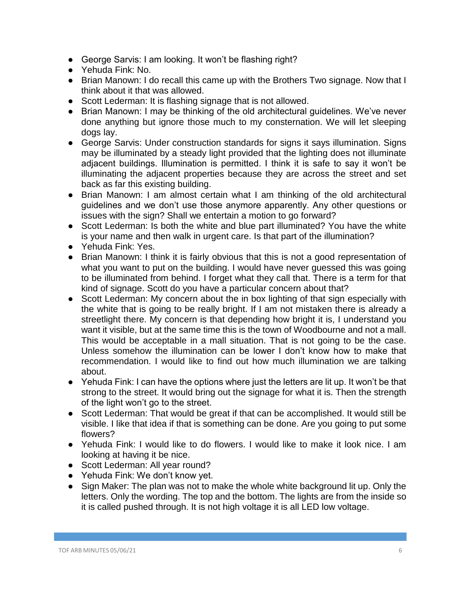- George Sarvis: I am looking. It won't be flashing right?
- Yehuda Fink: No.
- Brian Manown: I do recall this came up with the Brothers Two signage. Now that I think about it that was allowed.
- Scott Lederman: It is flashing signage that is not allowed.
- Brian Manown: I may be thinking of the old architectural guidelines. We've never done anything but ignore those much to my consternation. We will let sleeping dogs lay.
- George Sarvis: Under construction standards for signs it says illumination. Signs may be illuminated by a steady light provided that the lighting does not illuminate adjacent buildings. Illumination is permitted. I think it is safe to say it won't be illuminating the adjacent properties because they are across the street and set back as far this existing building.
- Brian Manown: I am almost certain what I am thinking of the old architectural guidelines and we don't use those anymore apparently. Any other questions or issues with the sign? Shall we entertain a motion to go forward?
- Scott Lederman: Is both the white and blue part illuminated? You have the white is your name and then walk in urgent care. Is that part of the illumination?
- Yehuda Fink: Yes.
- Brian Manown: I think it is fairly obvious that this is not a good representation of what you want to put on the building. I would have never guessed this was going to be illuminated from behind. I forget what they call that. There is a term for that kind of signage. Scott do you have a particular concern about that?
- Scott Lederman: My concern about the in box lighting of that sign especially with the white that is going to be really bright. If I am not mistaken there is already a streetlight there. My concern is that depending how bright it is, I understand you want it visible, but at the same time this is the town of Woodbourne and not a mall. This would be acceptable in a mall situation. That is not going to be the case. Unless somehow the illumination can be lower I don't know how to make that recommendation. I would like to find out how much illumination we are talking about.
- Yehuda Fink: I can have the options where just the letters are lit up. It won't be that strong to the street. It would bring out the signage for what it is. Then the strength of the light won't go to the street.
- Scott Lederman: That would be great if that can be accomplished. It would still be visible. I like that idea if that is something can be done. Are you going to put some flowers?
- Yehuda Fink: I would like to do flowers. I would like to make it look nice. I am looking at having it be nice.
- Scott Lederman: All year round?
- Yehuda Fink: We don't know yet.
- Sign Maker: The plan was not to make the whole white background lit up. Only the letters. Only the wording. The top and the bottom. The lights are from the inside so it is called pushed through. It is not high voltage it is all LED low voltage.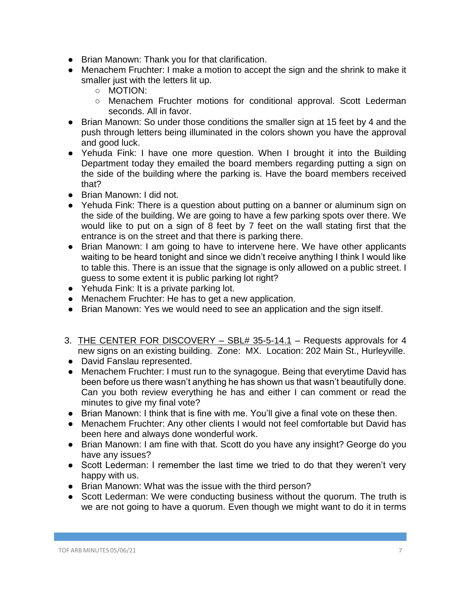- Brian Manown: Thank you for that clarification.
- Menachem Fruchter: I make a motion to accept the sign and the shrink to make it smaller just with the letters lit up.
	- MOTION:
	- Menachem Fruchter motions for conditional approval. Scott Lederman seconds. All in favor.
- Brian Manown: So under those conditions the smaller sign at 15 feet by 4 and the push through letters being illuminated in the colors shown you have the approval and good luck.
- Yehuda Fink: I have one more question. When I brought it into the Building Department today they emailed the board members regarding putting a sign on the side of the building where the parking is. Have the board members received that?
- Brian Manown: I did not.
- Yehuda Fink: There is a question about putting on a banner or aluminum sign on the side of the building. We are going to have a few parking spots over there. We would like to put on a sign of 8 feet by 7 feet on the wall stating first that the entrance is on the street and that there is parking there.
- Brian Manown: I am going to have to intervene here. We have other applicants waiting to be heard tonight and since we didn't receive anything I think I would like to table this. There is an issue that the signage is only allowed on a public street. I guess to some extent it is public parking lot right?
- Yehuda Fink: It is a private parking lot.
- Menachem Fruchter: He has to get a new application.
- Brian Manown: Yes we would need to see an application and the sign itself.
- 3. THE CENTER FOR DISCOVERY SBL# 35-5-14.1 Requests approvals for 4 new signs on an existing building. Zone: MX. Location: 202 Main St., Hurleyville.
- David Fanslau represented.
- Menachem Fruchter: I must run to the synagogue. Being that everytime David has been before us there wasn't anything he has shown us that wasn't beautifully done. Can you both review everything he has and either I can comment or read the minutes to give my final vote?
- Brian Manown: I think that is fine with me. You'll give a final vote on these then.
- Menachem Fruchter: Any other clients I would not feel comfortable but David has been here and always done wonderful work.
- Brian Manown: I am fine with that. Scott do you have any insight? George do you have any issues?
- Scott Lederman: I remember the last time we tried to do that they weren't very happy with us.
- Brian Manown: What was the issue with the third person?
- Scott Lederman: We were conducting business without the quorum. The truth is we are not going to have a quorum. Even though we might want to do it in terms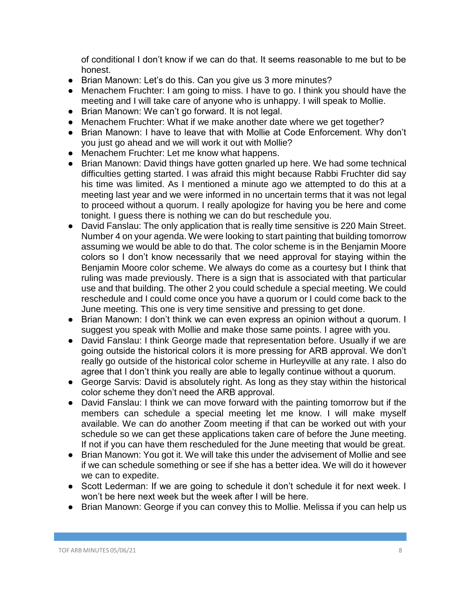of conditional I don't know if we can do that. It seems reasonable to me but to be honest.

- Brian Manown: Let's do this. Can you give us 3 more minutes?
- Menachem Fruchter: I am going to miss. I have to go. I think you should have the meeting and I will take care of anyone who is unhappy. I will speak to Mollie.
- Brian Manown: We can't go forward. It is not legal.
- Menachem Fruchter: What if we make another date where we get together?
- Brian Manown: I have to leave that with Mollie at Code Enforcement. Why don't you just go ahead and we will work it out with Mollie?
- Menachem Fruchter: Let me know what happens.
- Brian Manown: David things have gotten gnarled up here. We had some technical difficulties getting started. I was afraid this might because Rabbi Fruchter did say his time was limited. As I mentioned a minute ago we attempted to do this at a meeting last year and we were informed in no uncertain terms that it was not legal to proceed without a quorum. I really apologize for having you be here and come tonight. I guess there is nothing we can do but reschedule you.
- David Fanslau: The only application that is really time sensitive is 220 Main Street. Number 4 on your agenda. We were looking to start painting that building tomorrow assuming we would be able to do that. The color scheme is in the Benjamin Moore colors so I don't know necessarily that we need approval for staying within the Benjamin Moore color scheme. We always do come as a courtesy but I think that ruling was made previously. There is a sign that is associated with that particular use and that building. The other 2 you could schedule a special meeting. We could reschedule and I could come once you have a quorum or I could come back to the June meeting. This one is very time sensitive and pressing to get done.
- Brian Manown: I don't think we can even express an opinion without a quorum. I suggest you speak with Mollie and make those same points. I agree with you.
- David Fanslau: I think George made that representation before. Usually if we are going outside the historical colors it is more pressing for ARB approval. We don't really go outside of the historical color scheme in Hurleyville at any rate. I also do agree that I don't think you really are able to legally continue without a quorum.
- George Sarvis: David is absolutely right. As long as they stay within the historical color scheme they don't need the ARB approval.
- David Fanslau: I think we can move forward with the painting tomorrow but if the members can schedule a special meeting let me know. I will make myself available. We can do another Zoom meeting if that can be worked out with your schedule so we can get these applications taken care of before the June meeting. If not if you can have them rescheduled for the June meeting that would be great.
- Brian Manown: You got it. We will take this under the advisement of Mollie and see if we can schedule something or see if she has a better idea. We will do it however we can to expedite.
- Scott Lederman: If we are going to schedule it don't schedule it for next week. I won't be here next week but the week after I will be here.
- Brian Manown: George if you can convey this to Mollie. Melissa if you can help us